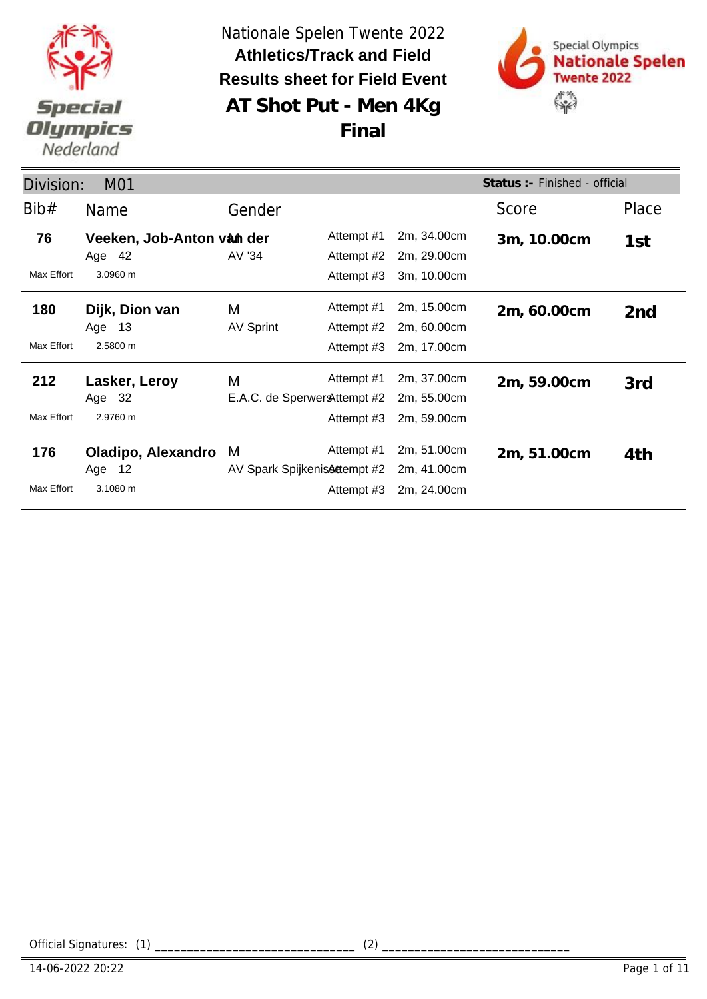



|            | Status : - Finished - official<br>M01<br>Division: |                               |            |             |             |       |  |  |
|------------|----------------------------------------------------|-------------------------------|------------|-------------|-------------|-------|--|--|
| Bib#       | <b>Name</b>                                        | Gender                        |            |             | Score       | Place |  |  |
| 76         | Veeken, Job-Anton van der                          |                               | Attempt #1 | 2m, 34.00cm | 3m, 10.00cm | 1st   |  |  |
|            | Age 42                                             | AV '34                        | Attempt #2 | 2m, 29.00cm |             |       |  |  |
| Max Effort | 3.0960 m                                           |                               | Attempt #3 | 3m, 10.00cm |             |       |  |  |
| 180        | Dijk, Dion van                                     | M                             | Attempt #1 | 2m, 15.00cm | 2m, 60.00cm | 2nd   |  |  |
|            | Age<br>- 13                                        | <b>AV Sprint</b>              | Attempt #2 | 2m, 60.00cm |             |       |  |  |
| Max Effort | 2.5800 m                                           |                               | Attempt #3 | 2m, 17.00cm |             |       |  |  |
| 212        | Lasker, Leroy                                      | M                             | Attempt #1 | 2m, 37.00cm | 2m, 59.00cm | 3rd   |  |  |
|            | Age 32                                             | E.A.C. de Sperwer & ttempt #2 |            | 2m, 55.00cm |             |       |  |  |
| Max Effort | 2.9760 m                                           |                               | Attempt #3 | 2m, 59.00cm |             |       |  |  |
| 176        | Oladipo, Alexandro                                 | M                             | Attempt #1 | 2m, 51.00cm | 2m, 51.00cm | 4th   |  |  |
|            | Age 12                                             | AV Spark Spijkenis Attempt #2 |            | 2m, 41.00cm |             |       |  |  |
| Max Effort | 3.1080 m                                           |                               | Attempt #3 | 2m, 24.00cm |             |       |  |  |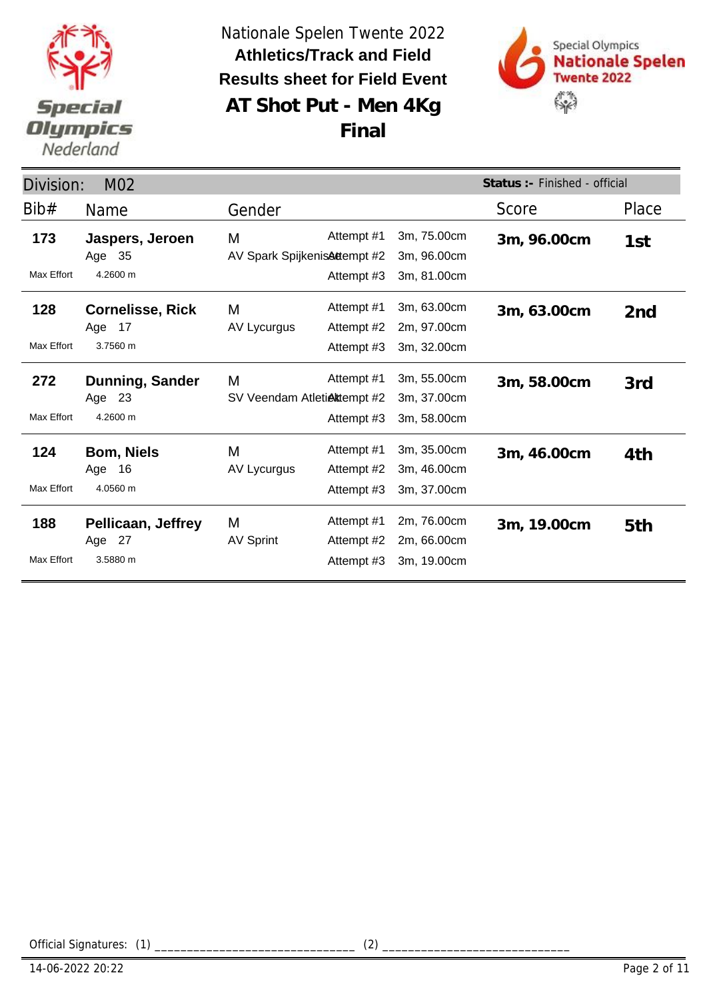



| Status : - Finished - official<br>Division:<br>M <sub>02</sub> |                                                 |                                    |                                        |                                           |             |                 |
|----------------------------------------------------------------|-------------------------------------------------|------------------------------------|----------------------------------------|-------------------------------------------|-------------|-----------------|
| Bib#                                                           | <b>Name</b>                                     | Gender                             |                                        |                                           | Score       | Place           |
| 173<br>Max Effort                                              | Jaspers, Jeroen<br>Age 35<br>4.2600 m           | M<br>AV Spark Spijkenis Attempt #2 | Attempt #1<br>Attempt #3               | 3m, 75.00cm<br>3m, 96.00cm<br>3m, 81.00cm | 3m, 96.00cm | 1st             |
| 128<br>Max Effort                                              | <b>Cornelisse, Rick</b><br>Age 17<br>3.7560 m   | M<br>AV Lycurgus                   | Attempt #1<br>Attempt #2<br>Attempt #3 | 3m, 63.00cm<br>2m, 97.00cm<br>3m, 32.00cm | 3m, 63.00cm | 2 <sub>nd</sub> |
| 272<br>Max Effort                                              | <b>Dunning, Sander</b><br>Age 23<br>4.2600 m    | M<br>SV Veendam Atletiektempt #2   | Attempt #1<br>Attempt #3               | 3m, 55.00cm<br>3m, 37.00cm<br>3m, 58.00cm | 3m, 58.00cm | 3rd             |
| 124<br>Max Effort                                              | <b>Bom, Niels</b><br>Age 16<br>4.0560 m         | M<br>AV Lycurgus                   | Attempt #1<br>Attempt #2<br>Attempt #3 | 3m, 35.00cm<br>3m, 46.00cm<br>3m, 37.00cm | 3m, 46.00cm | 4th             |
| 188<br>Max Effort                                              | <b>Pellicaan, Jeffrey</b><br>Age 27<br>3.5880 m | M<br><b>AV Sprint</b>              | Attempt #1<br>Attempt #2<br>Attempt #3 | 2m, 76.00cm<br>2m, 66.00cm<br>3m, 19.00cm | 3m, 19.00cm | 5th             |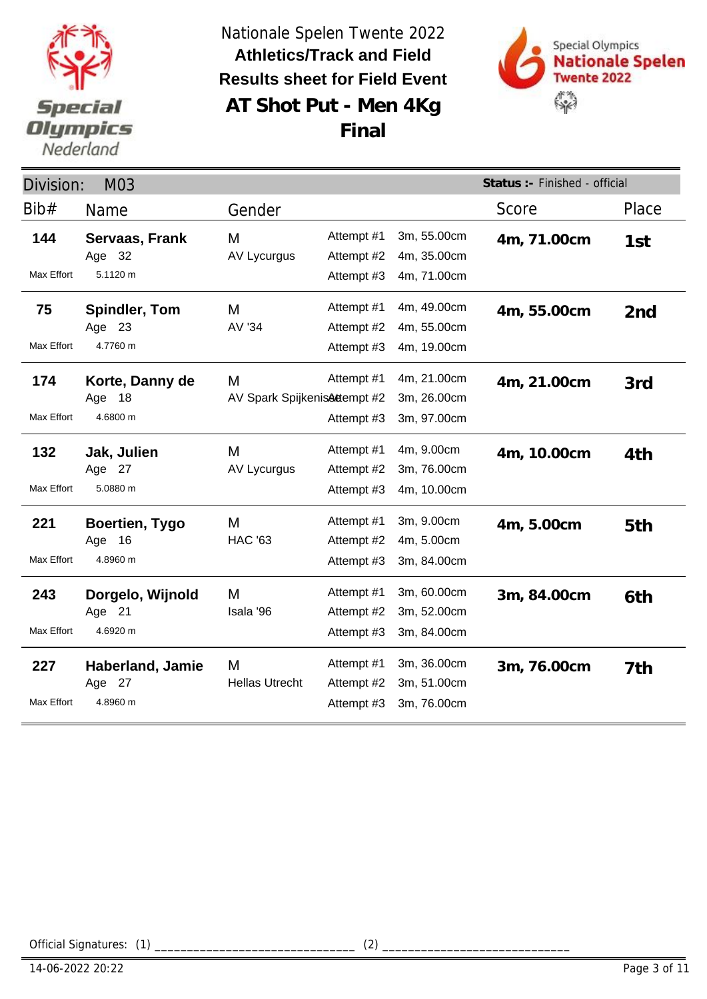



| Status :- Finished - official<br>Division:<br>M03 |                                               |                                   |                                        |                                           |             |                 |
|---------------------------------------------------|-----------------------------------------------|-----------------------------------|----------------------------------------|-------------------------------------------|-------------|-----------------|
| Bib#                                              | Name                                          | Gender                            |                                        |                                           | Score       | Place           |
| 144<br>Max Effort                                 | Servaas, Frank<br>Age 32<br>5.1120 m          | M<br>AV Lycurgus                  | Attempt #1<br>Attempt #2<br>Attempt #3 | 3m, 55.00cm<br>4m, 35.00cm<br>4m, 71.00cm | 4m, 71.00cm | 1st             |
| 75<br>Max Effort                                  | <b>Spindler, Tom</b><br>Age 23<br>4.7760 m    | М<br>AV '34                       | Attempt #1<br>Attempt #2<br>Attempt #3 | 4m, 49.00cm<br>4m, 55.00cm<br>4m, 19.00cm | 4m, 55.00cm | 2 <sub>nd</sub> |
| 174<br>Max Effort                                 | Korte, Danny de<br>Age 18<br>4.6800 m         | M<br>AV Spark SpijkenisAttempt #2 | Attempt #1<br>Attempt #3               | 4m, 21.00cm<br>3m, 26.00cm<br>3m, 97.00cm | 4m, 21.00cm | 3rd             |
| 132<br>Max Effort                                 | Jak, Julien<br>Age 27<br>5.0880 m             | М<br><b>AV Lycurgus</b>           | Attempt #1<br>Attempt #2<br>Attempt #3 | 4m, 9.00cm<br>3m, 76.00cm<br>4m, 10.00cm  | 4m, 10.00cm | 4th             |
| 221<br>Max Effort                                 | <b>Boertien, Tygo</b><br>Age 16<br>4.8960 m   | M<br><b>HAC '63</b>               | Attempt #1<br>Attempt #2<br>Attempt #3 | 3m, 9.00cm<br>4m, 5.00cm<br>3m, 84.00cm   | 4m, 5.00cm  | 5th             |
| 243<br>Max Effort                                 | Dorgelo, Wijnold<br>Age 21<br>4.6920 m        | М<br>Isala '96                    | Attempt #1<br>Attempt #2<br>Attempt #3 | 3m, 60.00cm<br>3m, 52.00cm<br>3m, 84.00cm | 3m, 84.00cm | 6th             |
| 227<br>Max Effort                                 | <b>Haberland, Jamie</b><br>Age 27<br>4.8960 m | M<br><b>Hellas Utrecht</b>        | Attempt #1<br>Attempt #2<br>Attempt #3 | 3m, 36.00cm<br>3m, 51.00cm<br>3m, 76.00cm | 3m, 76.00cm | 7th             |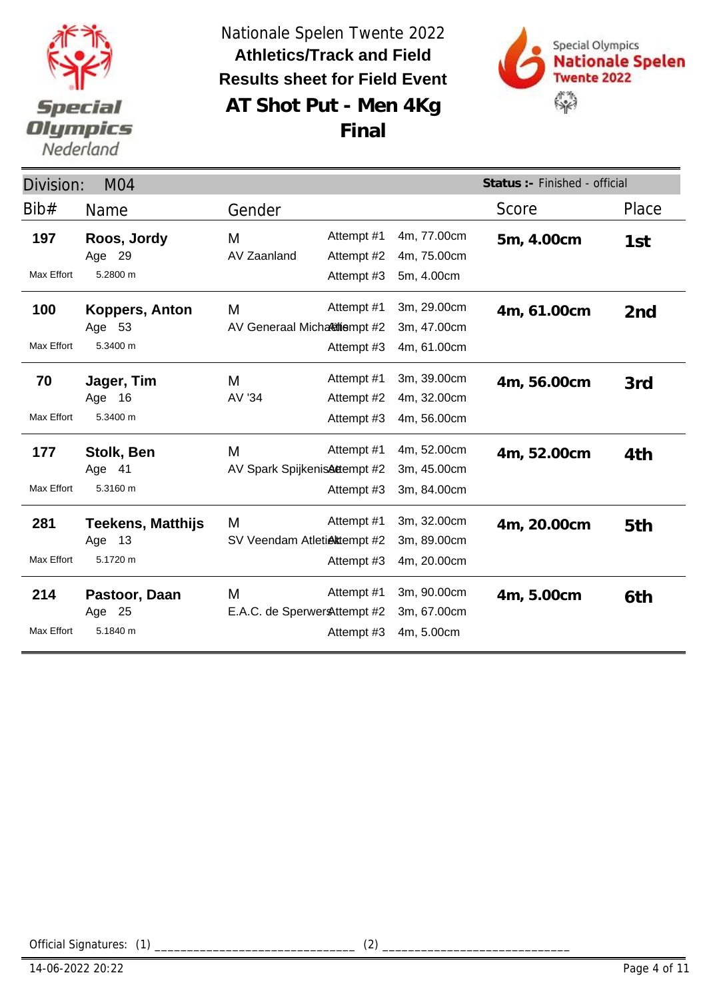



**Final**

| Division:<br>M <sub>04</sub> |                                                |                                   |                          |                                           | Status :- Finished - official |                 |
|------------------------------|------------------------------------------------|-----------------------------------|--------------------------|-------------------------------------------|-------------------------------|-----------------|
| Bib#                         | Name                                           | Gender                            |                          |                                           | Score                         | Place           |
| 197                          | Roos, Jordy<br>Age 29                          | M<br>AV Zaanland                  | Attempt #1<br>Attempt #2 | 4m, 77.00cm<br>4m, 75.00cm                | 5m, 4.00cm                    | 1st             |
| Max Effort                   | 5.2800 m                                       |                                   | Attempt #3               | 5m, 4.00cm                                |                               |                 |
| 100<br>Max Effort            | Koppers, Anton<br>Age 53<br>5.3400 m           | M<br>AV Generaal Micharitiempt #2 | Attempt #1<br>Attempt #3 | 3m, 29.00cm<br>3m, 47.00cm<br>4m, 61.00cm | 4m, 61.00cm                   | 2 <sub>nd</sub> |
| 70                           | Jager, Tim<br>Age 16                           | M<br>AV '34                       | Attempt #1<br>Attempt #2 | 3m, 39.00cm<br>4m, 32.00cm                | 4m, 56.00cm                   | 3rd             |
| Max Effort                   | 5.3400 m                                       |                                   | Attempt #3               | 4m, 56.00cm                               |                               |                 |
| 177<br>Max Effort            | Stolk, Ben<br>Age 41<br>5.3160 m               | M<br>AV Spark SpijkenisAttempt #2 | Attempt #1<br>Attempt #3 | 4m, 52.00cm<br>3m, 45.00cm<br>3m, 84.00cm | 4m, 52.00cm                   | 4th             |
| 281<br>Max Effort            | <b>Teekens, Matthijs</b><br>Age 13<br>5.1720 m | M<br>SV Veendam Atletiektempt #2  | Attempt #1<br>Attempt #3 | 3m, 32.00cm<br>3m, 89.00cm<br>4m, 20.00cm | 4m, 20.00cm                   | 5th             |
| 214<br>Max Effort            | Pastoor, Daan<br>Age 25<br>5.1840 m            | M<br>E.A.C. de Sperwer Attempt #2 | Attempt #1<br>Attempt #3 | 3m, 90.00cm<br>3m, 67.00cm<br>4m, 5.00cm  | 4m, 5.00cm                    | 6th             |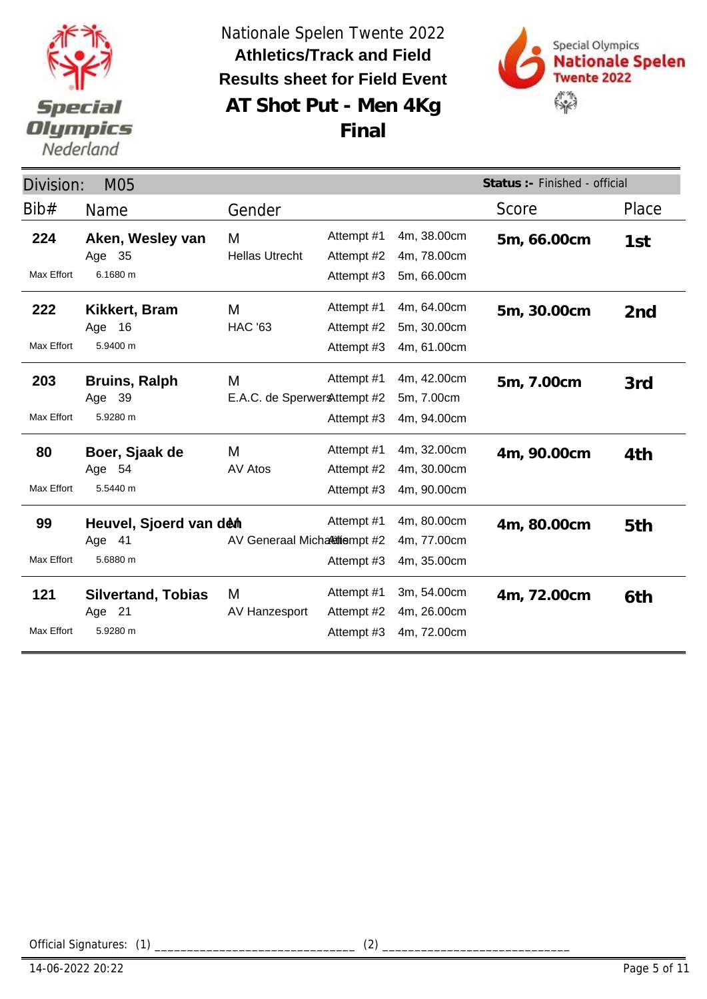



| Status :- Finished - official<br>Division:<br>M05 |                                                 |                                    |                                        |                                           |             |       |
|---------------------------------------------------|-------------------------------------------------|------------------------------------|----------------------------------------|-------------------------------------------|-------------|-------|
| Bib#                                              | <b>Name</b>                                     | Gender                             |                                        |                                           | Score       | Place |
| 224                                               | Aken, Wesley van<br>Age 35                      | M<br><b>Hellas Utrecht</b>         | Attempt #1<br>Attempt #2               | 4m, 38.00cm<br>4m, 78.00cm                | 5m, 66.00cm | 1st   |
| Max Effort                                        | 6.1680 m                                        |                                    | Attempt #3                             | 5m, 66.00cm                               |             |       |
| 222<br>Max Effort                                 | Kikkert, Bram<br>16<br>Age<br>5.9400 m          | M<br><b>HAC '63</b>                | Attempt #1<br>Attempt #2<br>Attempt #3 | 4m, 64.00cm<br>5m, 30.00cm<br>4m, 61.00cm | 5m, 30.00cm | 2nd   |
| 203<br>Max Effort                                 | <b>Bruins, Ralph</b><br>Age 39<br>5.9280 m      | M<br>E.A.C. de Sperwer & ttempt #2 | Attempt #1<br>Attempt #3               | 4m, 42.00cm<br>5m, 7.00cm<br>4m, 94.00cm  | 5m, 7.00cm  | 3rd   |
| 80<br>Max Effort                                  | Boer, Sjaak de<br>Age 54<br>5.5440 m            | M<br>AV Atos                       | Attempt #1<br>Attempt #2<br>Attempt #3 | 4m, 32.00cm<br>4m, 30.00cm<br>4m, 90.00cm | 4m, 90.00cm | 4th   |
| 99<br>Max Effort                                  | Heuvel, Sjoerd van den<br>Age 41<br>5.6880 m    | AV Generaal Micharitiempt #2       | Attempt #1<br>Attempt #3               | 4m, 80.00cm<br>4m, 77.00cm<br>4m, 35.00cm | 4m, 80.00cm | 5th   |
| 121<br><b>Max Effort</b>                          | <b>Silvertand, Tobias</b><br>Age 21<br>5.9280 m | M<br>AV Hanzesport                 | Attempt #1<br>Attempt #2<br>Attempt #3 | 3m, 54.00cm<br>4m, 26.00cm<br>4m, 72.00cm | 4m, 72.00cm | 6th   |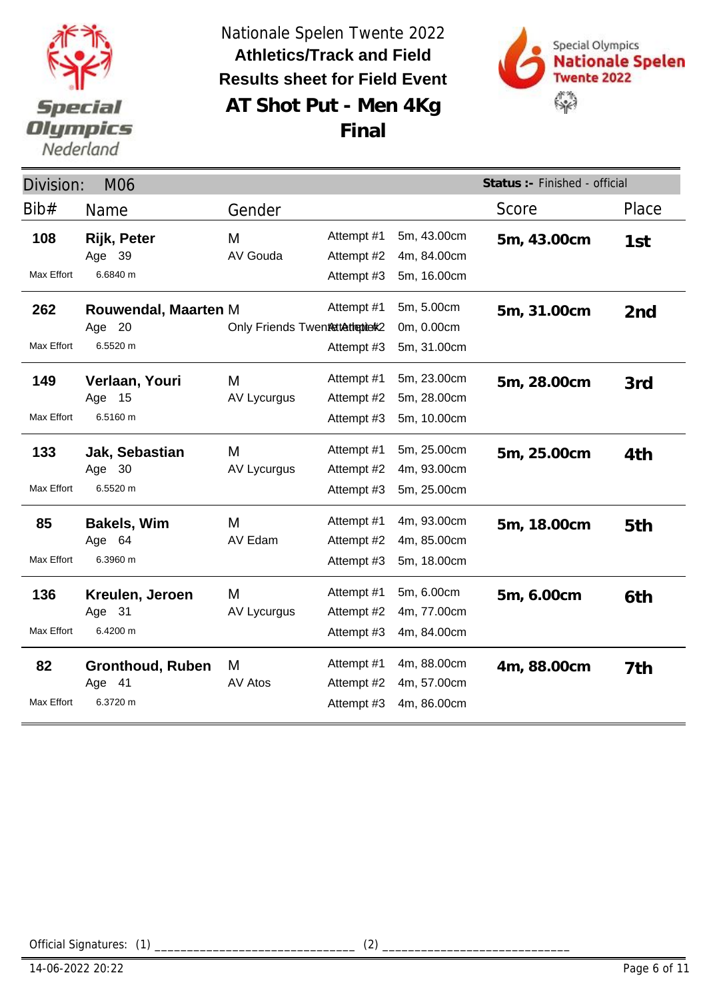



**Final**

| Status :- Finished - official<br>Division:<br><b>M06</b> |                                               |                                 |                                        |                                           |             |       |
|----------------------------------------------------------|-----------------------------------------------|---------------------------------|----------------------------------------|-------------------------------------------|-------------|-------|
| Bib#                                                     | Name                                          | Gender                          |                                        |                                           | Score       | Place |
| 108<br><b>Max Effort</b>                                 | Rijk, Peter<br>Age 39<br>6.6840 m             | M<br>AV Gouda                   | Attempt #1<br>Attempt #2<br>Attempt #3 | 5m, 43.00cm<br>4m, 84.00cm<br>5m, 16.00cm | 5m, 43.00cm | 1st   |
| 262<br>Max Effort                                        | Rouwendal, Maarten M<br>Age 20<br>6.5520 m    | Only Friends Twentettethepierk2 | Attempt #1<br>Attempt #3               | 5m, 5.00cm<br>0m, 0.00cm<br>5m, 31.00cm   | 5m, 31.00cm | 2nd   |
| 149<br>Max Effort                                        | Verlaan, Youri<br>Age 15<br>6.5160 m          | M<br><b>AV Lycurgus</b>         | Attempt #1<br>Attempt #2<br>Attempt #3 | 5m, 23.00cm<br>5m, 28.00cm<br>5m, 10.00cm | 5m, 28.00cm | 3rd   |
| 133<br>Max Effort                                        | Jak, Sebastian<br>Age 30<br>6.5520 m          | M<br>AV Lycurgus                | Attempt #1<br>Attempt #2<br>Attempt #3 | 5m, 25.00cm<br>4m, 93.00cm<br>5m, 25.00cm | 5m, 25.00cm | 4th   |
| 85<br>Max Effort                                         | <b>Bakels, Wim</b><br>Age 64<br>6.3960 m      | M<br>AV Edam                    | Attempt #1<br>Attempt #2<br>Attempt #3 | 4m, 93.00cm<br>4m, 85.00cm<br>5m, 18.00cm | 5m, 18.00cm | 5th   |
| 136<br>Max Effort                                        | Kreulen, Jeroen<br>Age 31<br>6.4200 m         | M<br><b>AV Lycurgus</b>         | Attempt #1<br>Attempt #2<br>Attempt #3 | 5m, 6.00cm<br>4m, 77.00cm<br>4m, 84.00cm  | 5m, 6.00cm  | 6th   |
| 82<br>Max Effort                                         | <b>Gronthoud, Ruben</b><br>Age 41<br>6.3720 m | M<br>AV Atos                    | Attempt #1<br>Attempt #2<br>Attempt #3 | 4m, 88.00cm<br>4m, 57.00cm<br>4m, 86.00cm | 4m, 88.00cm | 7th   |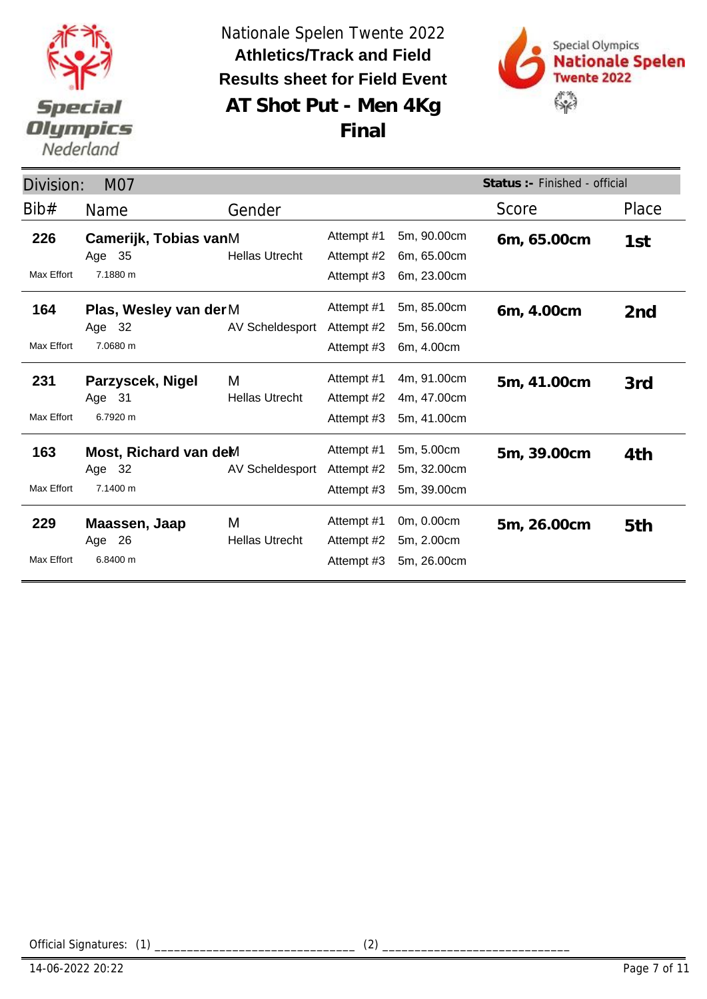



| Status :- Finished - official<br>Division:<br>M07 |                                             |                            |                                        |                                           |             |                 |
|---------------------------------------------------|---------------------------------------------|----------------------------|----------------------------------------|-------------------------------------------|-------------|-----------------|
| Bib#                                              | <b>Name</b>                                 | Gender                     |                                        |                                           | Score       | Place           |
| 226                                               | Camerijk, Tobias vanM<br>Age 35             | <b>Hellas Utrecht</b>      | Attempt #1<br>Attempt #2               | 5m, 90.00cm<br>6m, 65.00cm                | 6m, 65.00cm | 1st             |
| Max Effort                                        | 7.1880 m                                    |                            | Attempt #3                             | 6m, 23.00cm                               |             |                 |
| 164                                               | Plas, Wesley van der M<br>Age 32            | AV Scheldesport            | Attempt #1<br>Attempt #2               | 5m, 85.00cm<br>5m, 56.00cm                | 6m, 4.00cm  | 2 <sub>nd</sub> |
| Max Effort                                        | 7.0680 m                                    |                            | Attempt #3                             | 6m, 4.00cm                                |             |                 |
| 231<br>Max Effort                                 | Parzyscek, Nigel<br>Age 31<br>6.7920 m      | M<br><b>Hellas Utrecht</b> | Attempt #1<br>Attempt #2<br>Attempt #3 | 4m, 91.00cm<br>4m, 47.00cm<br>5m, 41.00cm | 5m, 41.00cm | 3rd             |
| 163<br>Max Effort                                 | Most, Richard van deM<br>Age 32<br>7.1400 m | AV Scheldesport            | Attempt #1<br>Attempt #2<br>Attempt #3 | 5m, 5.00cm<br>5m, 32.00cm<br>5m, 39.00cm  | 5m, 39.00cm | 4th             |
| 229<br><b>Max Effort</b>                          | Maassen, Jaap<br>Age 26<br>6.8400 m         | M<br><b>Hellas Utrecht</b> | Attempt #1<br>Attempt #2<br>Attempt #3 | 0m, 0.00cm<br>5m, 2.00cm<br>5m, 26.00cm   | 5m, 26.00cm | 5th             |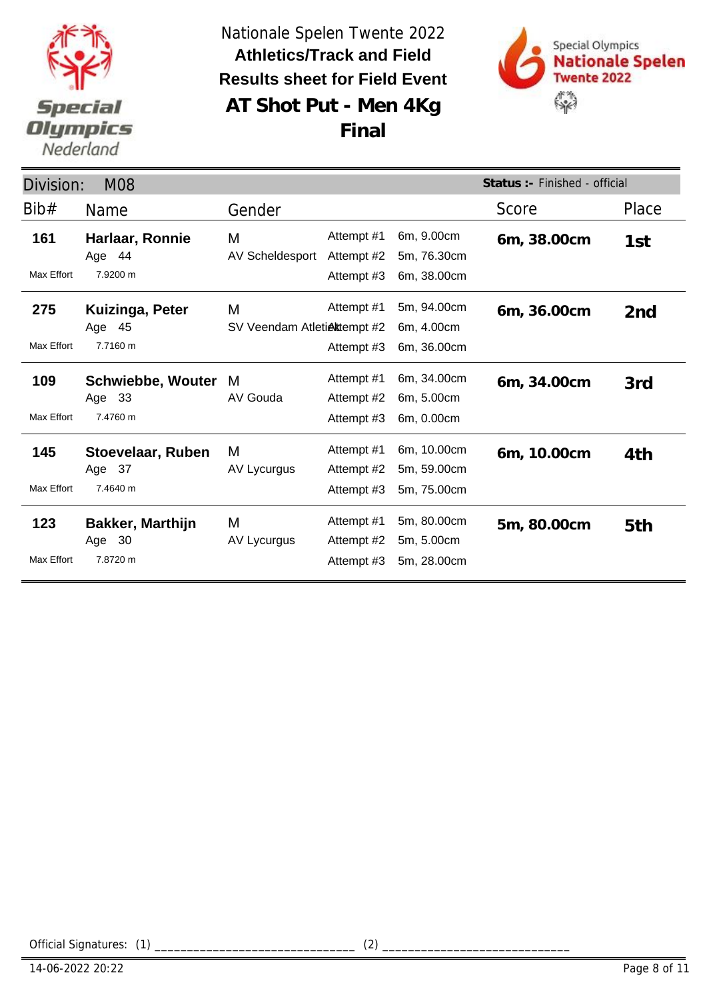



**Final**

|                   | Status : - Finished - official<br>Division:<br><b>M08</b> |                                  |                                        |                                           |             |                 |  |
|-------------------|-----------------------------------------------------------|----------------------------------|----------------------------------------|-------------------------------------------|-------------|-----------------|--|
| Bib#              | Name                                                      | Gender                           |                                        |                                           | Score       | Place           |  |
| 161<br>Max Effort | Harlaar, Ronnie<br>Age 44<br>7.9200 m                     | Μ<br>AV Scheldesport             | Attempt #1<br>Attempt #2<br>Attempt #3 | 6m, 9.00cm<br>5m, 76.30cm<br>6m, 38.00cm  | 6m, 38.00cm | 1st             |  |
| 275<br>Max Effort | Kuizinga, Peter<br>Age 45<br>7.7160 m                     | M<br>SV Veendam Atletiektempt #2 | Attempt #1<br>Attempt #3               | 5m, 94.00cm<br>6m, 4.00cm<br>6m, 36.00cm  | 6m, 36.00cm | 2 <sub>nd</sub> |  |
| 109<br>Max Effort | <b>Schwiebbe, Wouter</b><br>Age 33<br>7.4760 m            | M<br>AV Gouda                    | Attempt #1<br>Attempt #2<br>Attempt #3 | 6m, 34.00cm<br>6m, 5.00cm<br>6m, 0.00cm   | 6m, 34.00cm | 3rd             |  |
| 145<br>Max Effort | Stoevelaar, Ruben<br>Age 37<br>7.4640 m                   | M<br>AV Lycurgus                 | Attempt #1<br>Attempt #2<br>Attempt #3 | 6m, 10.00cm<br>5m, 59.00cm<br>5m, 75.00cm | 6m, 10.00cm | 4th             |  |
| 123<br>Max Effort | <b>Bakker, Marthijn</b><br>Age 30<br>7.8720 m             | M<br>AV Lycurgus                 | Attempt #1<br>Attempt #2<br>Attempt #3 | 5m, 80.00cm<br>5m, 5.00cm<br>5m, 28.00cm  | 5m, 80.00cm | 5th             |  |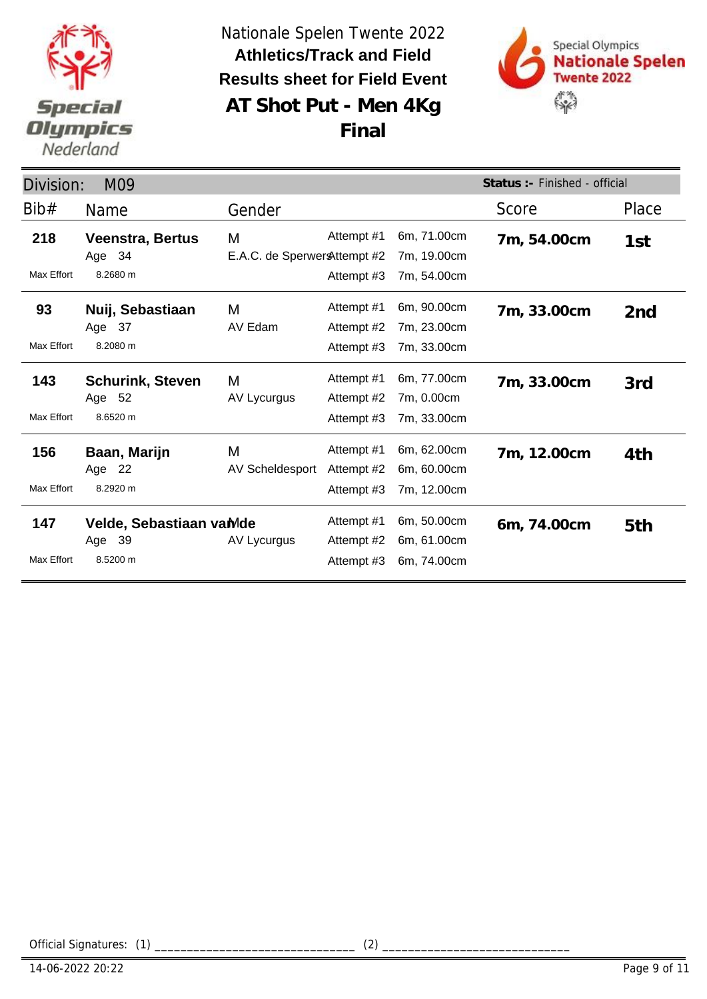



| Division:                | M09                                           |                                    |                                        |                                           | Status :- Finished - official |       |
|--------------------------|-----------------------------------------------|------------------------------------|----------------------------------------|-------------------------------------------|-------------------------------|-------|
| Bib#                     | Name                                          | Gender                             |                                        |                                           | Score                         | Place |
| 218<br>Max Effort        | <b>Veenstra, Bertus</b><br>Age 34<br>8.2680 m | M<br>E.A.C. de Sperwer & ttempt #2 | Attempt #1<br>Attempt #3               | 6m, 71.00cm<br>7m, 19.00cm<br>7m, 54.00cm | 7m, 54.00cm                   | 1st   |
| 93<br>Max Effort         | Nuij, Sebastiaan<br>Age 37<br>8.2080 m        | M<br>AV Edam                       | Attempt #1<br>Attempt #2<br>Attempt #3 | 6m, 90.00cm<br>7m, 23.00cm<br>7m, 33.00cm | 7m, 33.00cm                   | 2nd   |
| 143<br>Max Effort        | <b>Schurink, Steven</b><br>Age 52<br>8.6520 m | M<br>AV Lycurgus                   | Attempt #1<br>Attempt #2<br>Attempt #3 | 6m, 77.00cm<br>7m, 0.00cm<br>7m, 33.00cm  | 7m, 33.00cm                   | 3rd   |
| 156<br><b>Max Effort</b> | Baan, Marijn<br>Age 22<br>8.2920 m            | M<br>AV Scheldesport               | Attempt #1<br>Attempt #2<br>Attempt #3 | 6m, 62.00cm<br>6m, 60.00cm<br>7m, 12.00cm | 7m, 12.00cm                   | 4th   |
| 147<br>Max Effort        | Velde, Sebastiaan vaMde<br>Age 39<br>8.5200 m | AV Lycurgus                        | Attempt #1<br>Attempt #2<br>Attempt #3 | 6m, 50.00cm<br>6m, 61.00cm<br>6m, 74.00cm | 6m, 74.00cm                   | 5th   |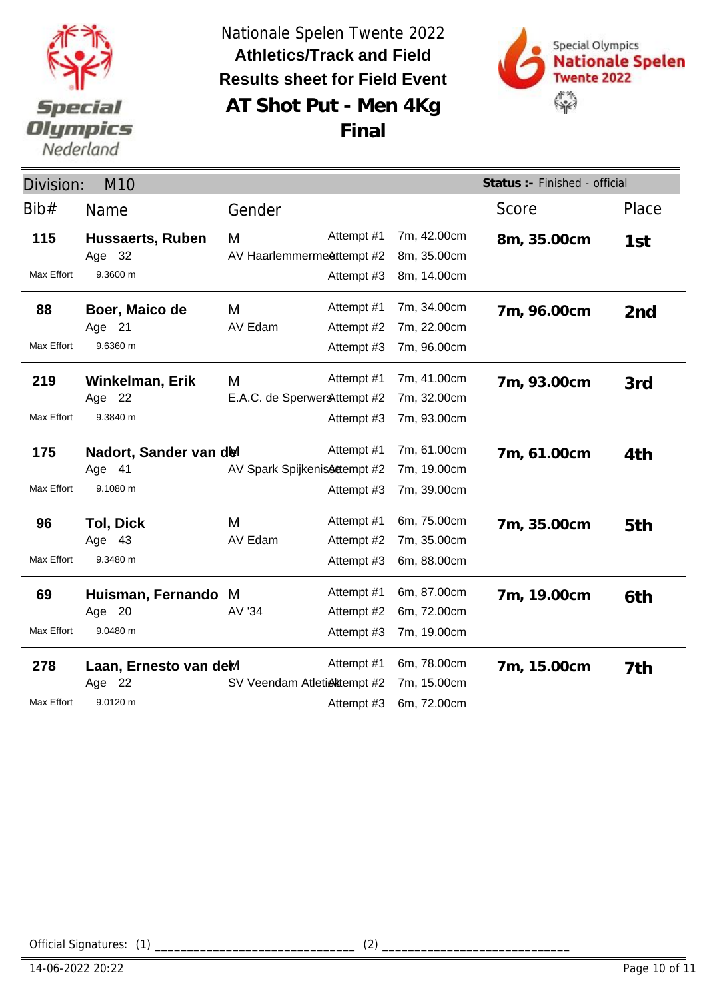



| Division:         | M <sub>10</sub>                              |                                    |                                        |                                           | Status :- Finished - official |       |
|-------------------|----------------------------------------------|------------------------------------|----------------------------------------|-------------------------------------------|-------------------------------|-------|
| Bib#              | Name                                         | Gender                             |                                        |                                           | Score                         | Place |
| 115<br>Max Effort | Hussaerts, Ruben<br>Age 32<br>9.3600 m       | M<br>AV HaarlemmermeAttempt #2     | Attempt #1<br>Attempt #3               | 7m, 42.00cm<br>8m, 35.00cm<br>8m, 14.00cm | 8m, 35.00cm                   | 1st   |
| 88<br>Max Effort  | Boer, Maico de<br>Age 21<br>9.6360 m         | M<br>AV Edam                       | Attempt #1<br>Attempt #2<br>Attempt #3 | 7m, 34.00cm<br>7m, 22.00cm<br>7m, 96.00cm | 7m, 96.00cm                   | 2nd   |
| 219<br>Max Effort | Winkelman, Erik<br>Age 22<br>9.3840 m        | M<br>E.A.C. de Sperwer & ttempt #2 | Attempt #1<br>Attempt #3               | 7m, 41.00cm<br>7m, 32.00cm<br>7m, 93.00cm | 7m, 93.00cm                   | 3rd   |
| 175<br>Max Effort | Nadort, Sander van del<br>Age 41<br>9.1080 m | AV Spark SpijkenisAttempt #2       | Attempt #1<br>Attempt #3               | 7m, 61.00cm<br>7m, 19.00cm<br>7m, 39.00cm | 7m, 61.00cm                   | 4th   |
| 96<br>Max Effort  | <b>Tol, Dick</b><br>Age 43<br>9.3480 m       | M<br>AV Edam                       | Attempt #1<br>Attempt #2<br>Attempt #3 | 6m, 75.00cm<br>7m, 35.00cm<br>6m, 88.00cm | 7m, 35.00cm                   | 5th   |
| 69<br>Max Effort  | Huisman, Fernando<br>Age 20<br>9.0480 m      | M<br>AV '34                        | Attempt #1<br>Attempt #2<br>Attempt #3 | 6m, 87.00cm<br>6m, 72.00cm<br>7m, 19.00cm | 7m, 19.00cm                   | 6th   |
| 278<br>Max Effort | Laan, Ernesto van deM<br>Age 22<br>9.0120 m  | SV Veendam Atletiektempt #2        | Attempt #1<br>Attempt #3               | 6m, 78.00cm<br>7m, 15.00cm<br>6m, 72.00cm | 7m, 15.00cm                   | 7th   |